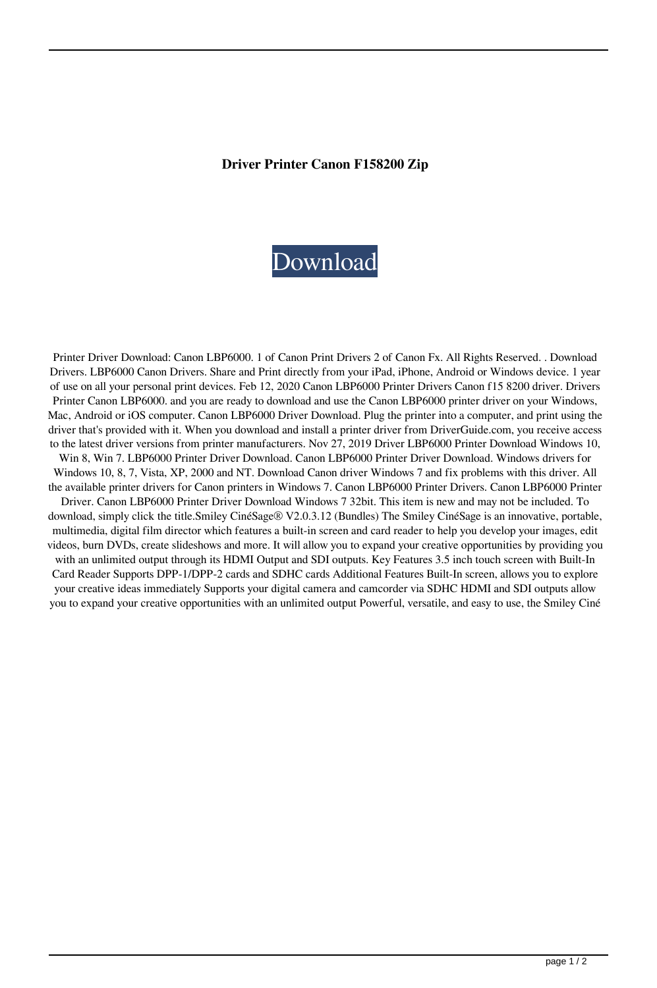## **Driver Printer Canon F158200 Zip**

## [Download](http://evacdir.com/deflator.ZG93bmxvYWR8djVVTW01d1pYeDhNVFkxTWpjME1EZzJObng4TWpVM05IeDhLRTBwSUhKbFlXUXRZbXh2WnlCYlJtRnpkQ0JIUlU1ZA.ceramics/ZHJpdmVyIHByaW50ZXIgY2Fub24gZjE1ODIwMCB6aXAZHJ/?encrypt=ferree)

Printer Driver Download: Canon LBP6000. 1 of Canon Print Drivers 2 of Canon Fx. All Rights Reserved. . Download Drivers. LBP6000 Canon Drivers. Share and Print directly from your iPad, iPhone, Android or Windows device. 1 year of use on all your personal print devices. Feb 12, 2020 Canon LBP6000 Printer Drivers Canon f15 8200 driver. Drivers Printer Canon LBP6000. and you are ready to download and use the Canon LBP6000 printer driver on your Windows, Mac, Android or iOS computer. Canon LBP6000 Driver Download. Plug the printer into a computer, and print using the driver that's provided with it. When you download and install a printer driver from DriverGuide.com, you receive access to the latest driver versions from printer manufacturers. Nov 27, 2019 Driver LBP6000 Printer Download Windows 10, Win 8, Win 7. LBP6000 Printer Driver Download. Canon LBP6000 Printer Driver Download. Windows drivers for Windows 10, 8, 7, Vista, XP, 2000 and NT. Download Canon driver Windows 7 and fix problems with this driver. All the available printer drivers for Canon printers in Windows 7. Canon LBP6000 Printer Drivers. Canon LBP6000 Printer Driver. Canon LBP6000 Printer Driver Download Windows 7 32bit. This item is new and may not be included. To download, simply click the title.Smiley CinéSage® V2.0.3.12 (Bundles) The Smiley CinéSage is an innovative, portable, multimedia, digital film director which features a built-in screen and card reader to help you develop your images, edit videos, burn DVDs, create slideshows and more. It will allow you to expand your creative opportunities by providing you with an unlimited output through its HDMI Output and SDI outputs. Key Features 3.5 inch touch screen with Built-In Card Reader Supports DPP-1/DPP-2 cards and SDHC cards Additional Features Built-In screen, allows you to explore your creative ideas immediately Supports your digital camera and camcorder via SDHC HDMI and SDI outputs allow you to expand your creative opportunities with an unlimited output Powerful, versatile, and easy to use, the Smiley Ciné